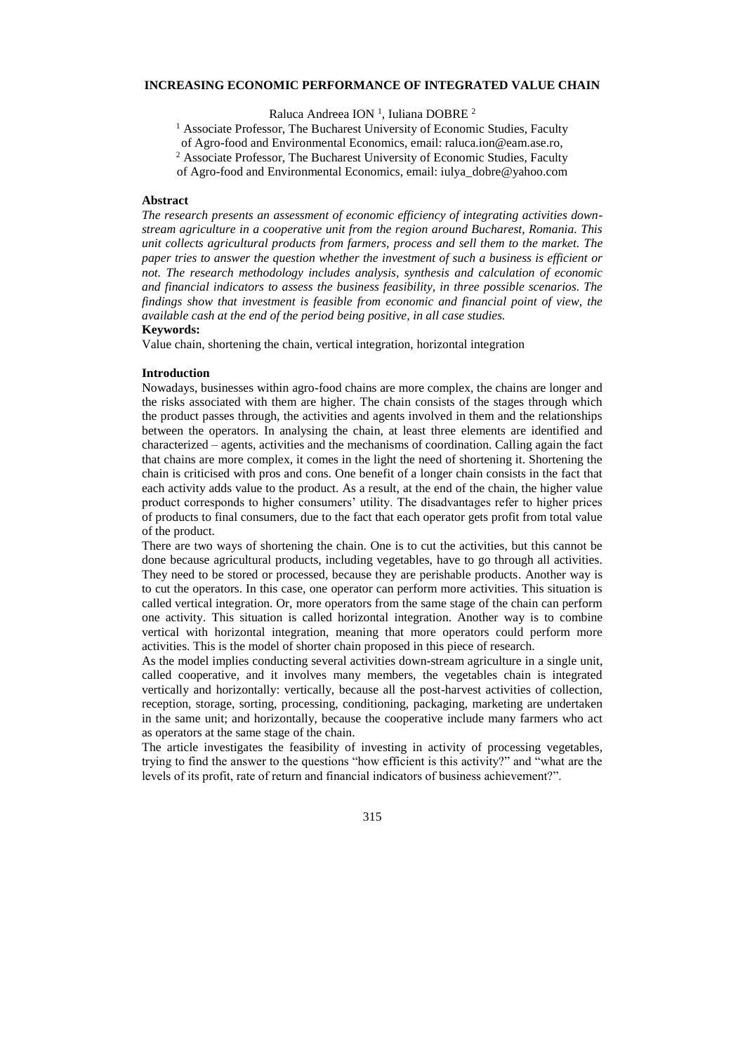# **INCREASING ECONOMIC PERFORMANCE OF INTEGRATED VALUE CHAIN**

Raluca Andreea ION<sup> $1$ </sup>, Iuliana DOBRE<sup>2</sup>

<sup>1</sup> Associate Professor, The Bucharest University of Economic Studies, Faculty

of Agro-food and Environmental Economics, email: raluca.ion@eam.ase.ro,

<sup>2</sup> Associate Professor, The Bucharest University of Economic Studies, Faculty

of Agro-food and Environmental Economics, email: iulya\_dobre@yahoo.com

# **Abstract**

*The research presents an assessment of economic efficiency of integrating activities downstream agriculture in a cooperative unit from the region around Bucharest, Romania. This unit collects agricultural products from farmers, process and sell them to the market. The paper tries to answer the question whether the investment of such a business is efficient or not. The research methodology includes analysis, synthesis and calculation of economic and financial indicators to assess the business feasibility, in three possible scenarios. The findings show that investment is feasible from economic and financial point of view, the available cash at the end of the period being positive, in all case studies.*

## **Keywords:**

Value chain, shortening the chain, vertical integration, horizontal integration

#### **Introduction**

Nowadays, businesses within agro-food chains are more complex, the chains are longer and the risks associated with them are higher. The chain consists of the stages through which the product passes through, the activities and agents involved in them and the relationships between the operators. In analysing the chain, at least three elements are identified and characterized – agents, activities and the mechanisms of coordination. Calling again the fact that chains are more complex, it comes in the light the need of shortening it. Shortening the chain is criticised with pros and cons. One benefit of a longer chain consists in the fact that each activity adds value to the product. As a result, at the end of the chain, the higher value product corresponds to higher consumers' utility. The disadvantages refer to higher prices of products to final consumers, due to the fact that each operator gets profit from total value of the product.

There are two ways of shortening the chain. One is to cut the activities, but this cannot be done because agricultural products, including vegetables, have to go through all activities. They need to be stored or processed, because they are perishable products. Another way is to cut the operators. In this case, one operator can perform more activities. This situation is called vertical integration. Or, more operators from the same stage of the chain can perform one activity. This situation is called horizontal integration. Another way is to combine vertical with horizontal integration, meaning that more operators could perform more activities. This is the model of shorter chain proposed in this piece of research.

As the model implies conducting several activities down-stream agriculture in a single unit, called cooperative, and it involves many members, the vegetables chain is integrated vertically and horizontally: vertically, because all the post-harvest activities of collection, reception, storage, sorting, processing, conditioning, packaging, marketing are undertaken in the same unit; and horizontally, because the cooperative include many farmers who act as operators at the same stage of the chain.

The article investigates the feasibility of investing in activity of processing vegetables, trying to find the answer to the questions "how efficient is this activity?" and "what are the levels of its profit, rate of return and financial indicators of business achievement?".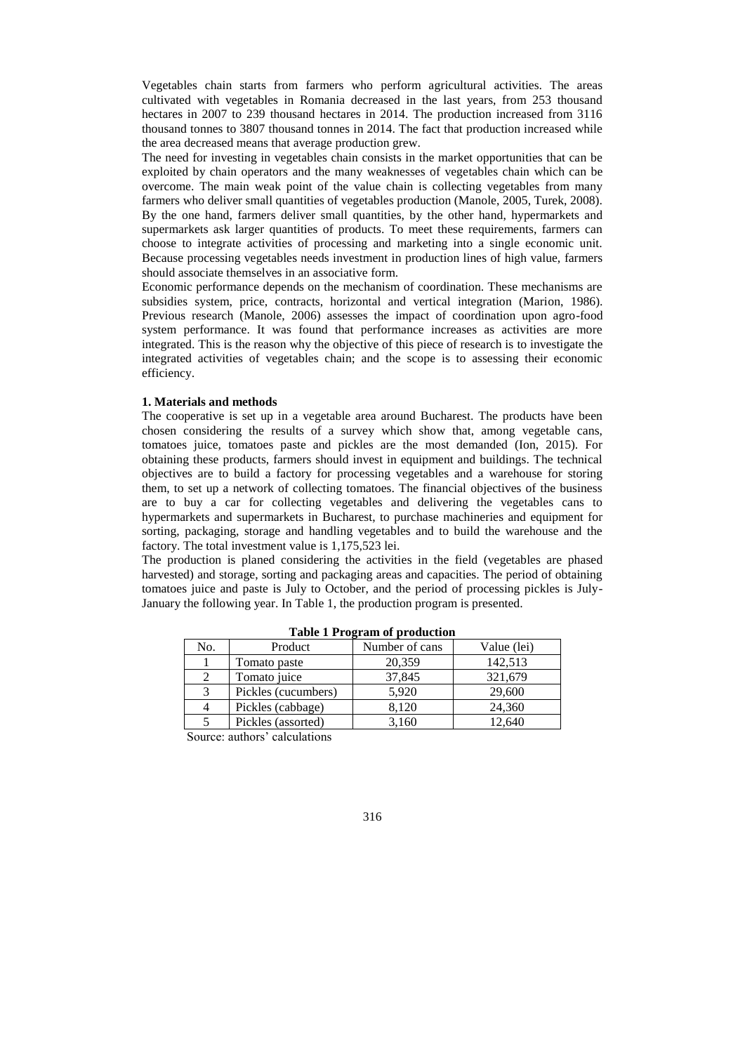Vegetables chain starts from farmers who perform agricultural activities. The areas cultivated with vegetables in Romania decreased in the last years, from 253 thousand hectares in 2007 to 239 thousand hectares in 2014. The production increased from 3116 thousand tonnes to 3807 thousand tonnes in 2014. The fact that production increased while the area decreased means that average production grew.

The need for investing in vegetables chain consists in the market opportunities that can be exploited by chain operators and the many weaknesses of vegetables chain which can be overcome. The main weak point of the value chain is collecting vegetables from many farmers who deliver small quantities of vegetables production (Manole, 2005, Turek, 2008). By the one hand, farmers deliver small quantities, by the other hand, hypermarkets and supermarkets ask larger quantities of products. To meet these requirements, farmers can choose to integrate activities of processing and marketing into a single economic unit. Because processing vegetables needs investment in production lines of high value, farmers should associate themselves in an associative form.

Economic performance depends on the mechanism of coordination. These mechanisms are subsidies system, price, contracts, horizontal and vertical integration (Marion, 1986). Previous research (Manole, 2006) assesses the impact of coordination upon agro-food system performance. It was found that performance increases as activities are more integrated. This is the reason why the objective of this piece of research is to investigate the integrated activities of vegetables chain; and the scope is to assessing their economic efficiency.

# **1. Materials and methods**

The cooperative is set up in a vegetable area around Bucharest. The products have been chosen considering the results of a survey which show that, among vegetable cans, tomatoes juice, tomatoes paste and pickles are the most demanded (Ion, 2015). For obtaining these products, farmers should invest in equipment and buildings. The technical objectives are to build a factory for processing vegetables and a warehouse for storing them, to set up a network of collecting tomatoes. The financial objectives of the business are to buy a car for collecting vegetables and delivering the vegetables cans to hypermarkets and supermarkets in Bucharest, to purchase machineries and equipment for sorting, packaging, storage and handling vegetables and to build the warehouse and the factory. The total investment value is 1,175,523 lei.

The production is planed considering the activities in the field (vegetables are phased harvested) and storage, sorting and packaging areas and capacities. The period of obtaining tomatoes juice and paste is July to October, and the period of processing pickles is July-January the following year. In Table 1, the production program is presented.

| Tuble 1 110 Clum of production |                     |                |             |  |  |  |
|--------------------------------|---------------------|----------------|-------------|--|--|--|
| No.                            | Product             | Number of cans | Value (lei) |  |  |  |
|                                | Tomato paste        | 20,359         | 142,513     |  |  |  |
|                                | Tomato juice        | 37,845         | 321,679     |  |  |  |
|                                | Pickles (cucumbers) | 5,920          | 29,600      |  |  |  |
| 4                              | Pickles (cabbage)   | 8,120          | 24,360      |  |  |  |
|                                | Pickles (assorted)  | 3,160          | 12.640      |  |  |  |

**Table 1 Program of production**

Source: authors' calculations

316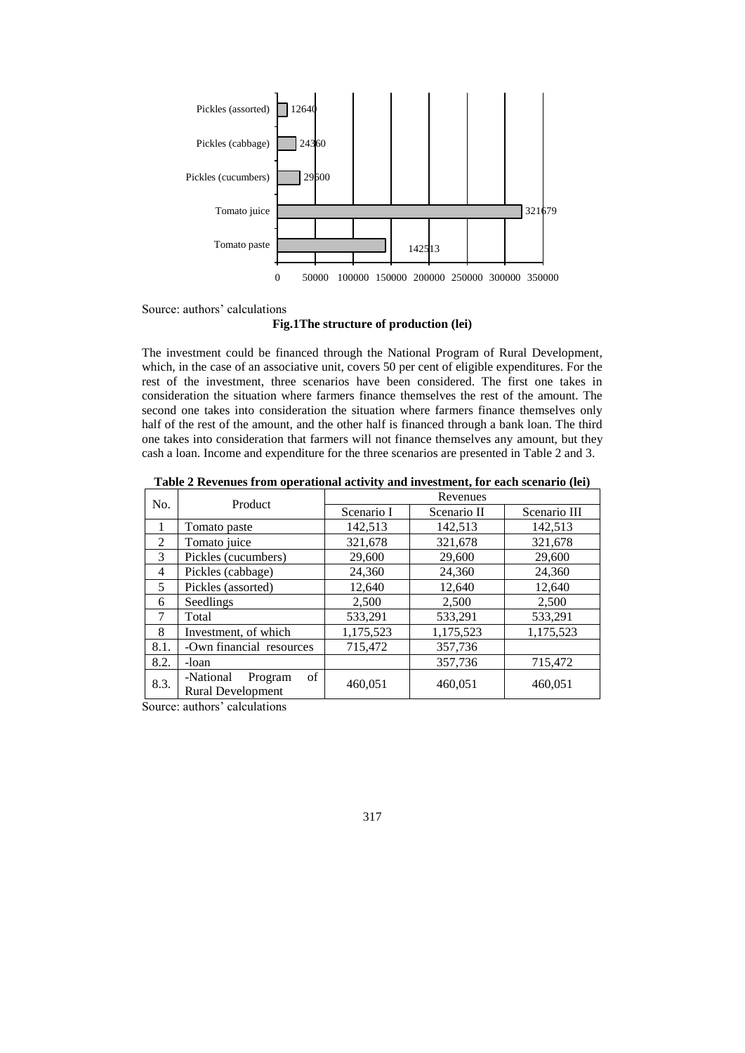

Source: authors' calculations

#### **Fig.1The structure of production (lei)**

The investment could be financed through the National Program of Rural Development, which, in the case of an associative unit, covers 50 per cent of eligible expenditures. For the rest of the investment, three scenarios have been considered. The first one takes in consideration the situation where farmers finance themselves the rest of the amount. The second one takes into consideration the situation where farmers finance themselves only half of the rest of the amount, and the other half is financed through a bank loan. The third one takes into consideration that farmers will not finance themselves any amount, but they cash a loan. Income and expenditure for the three scenarios are presented in Table 2 and 3.

| No.            | Product                                                | Revenues   |             |              |  |  |
|----------------|--------------------------------------------------------|------------|-------------|--------------|--|--|
|                |                                                        | Scenario I | Scenario II | Scenario III |  |  |
|                | Tomato paste                                           | 142.513    | 142.513     | 142.513      |  |  |
| $\mathfrak{D}$ | Tomato juice                                           | 321.678    | 321,678     | 321.678      |  |  |
| 3              | Pickles (cucumbers)                                    | 29,600     | 29,600      | 29,600       |  |  |
| 4              | Pickles (cabbage)                                      | 24,360     | 24,360      | 24,360       |  |  |
| 5              | Pickles (assorted)                                     | 12,640     | 12,640      | 12,640       |  |  |
| 6              | Seedlings                                              | 2,500      | 2,500       | 2,500        |  |  |
| 7              | Total                                                  | 533,291    | 533.291     | 533.291      |  |  |
| 8              | Investment, of which                                   | 1,175,523  | 1,175,523   | 1,175,523    |  |  |
| 8.1.           | -Own financial resources                               | 715,472    | 357,736     |              |  |  |
| 8.2.           | -loan                                                  |            | 357,736     | 715,472      |  |  |
| 8.3.           | of<br>-National<br>Program<br><b>Rural Development</b> | 460,051    | 460,051     | 460,051      |  |  |

**Table 2 Revenues from operational activity and investment, for each scenario (lei)**

Source: authors' calculations

317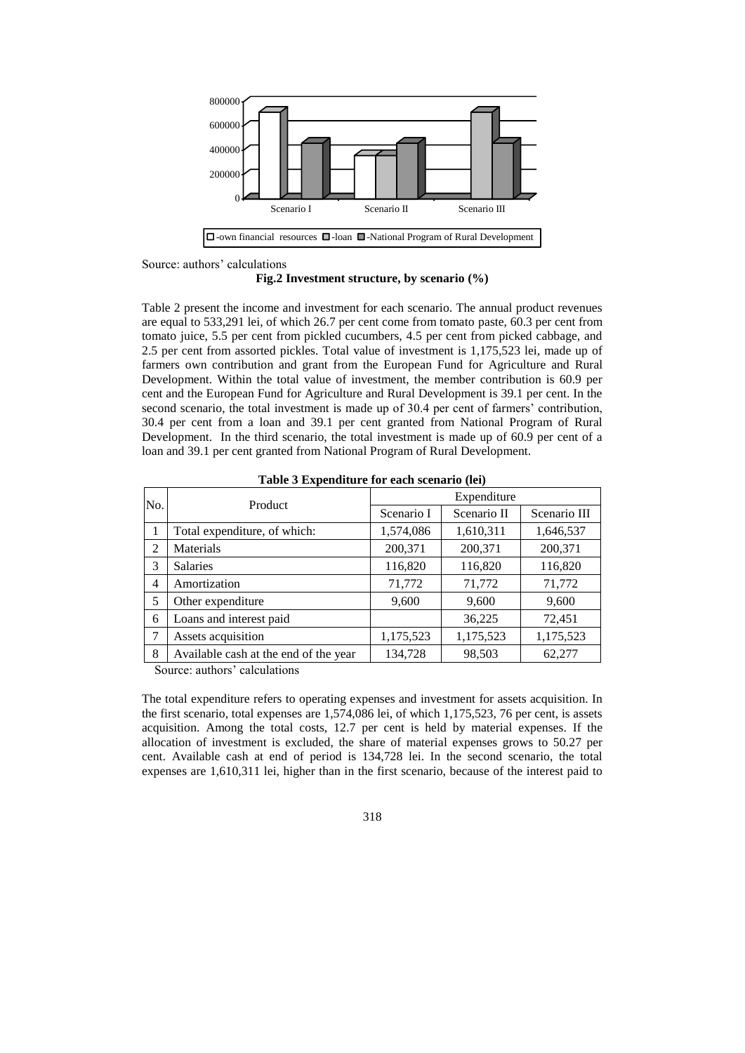

Source: authors' calculations

## **Fig.2 Investment structure, by scenario (%)**

Table 2 present the income and investment for each scenario. The annual product revenues are equal to 533,291 lei, of which 26.7 per cent come from tomato paste, 60.3 per cent from tomato juice, 5.5 per cent from pickled cucumbers, 4.5 per cent from picked cabbage, and 2.5 per cent from assorted pickles. Total value of investment is 1,175,523 lei, made up of farmers own contribution and grant from the European Fund for Agriculture and Rural Development. Within the total value of investment, the member contribution is 60.9 per cent and the European Fund for Agriculture and Rural Development is 39.1 per cent. In the second scenario, the total investment is made up of 30.4 per cent of farmers' contribution, 30.4 per cent from a loan and 39.1 per cent granted from National Program of Rural Development. In the third scenario, the total investment is made up of 60.9 per cent of a loan and 39.1 per cent granted from National Program of Rural Development.

|                 | Table 5 Expenditure for each security (ici) |             |             |              |  |
|-----------------|---------------------------------------------|-------------|-------------|--------------|--|
| No.             | Product                                     | Expenditure |             |              |  |
|                 |                                             | Scenario I  | Scenario II | Scenario III |  |
|                 | Total expenditure, of which:                | 1,574,086   | 1,610,311   | 1,646,537    |  |
| $\overline{2}$  | Materials                                   | 200,371     | 200,371     | 200,371      |  |
| 3               | <b>Salaries</b>                             | 116,820     | 116,820     | 116,820      |  |
| $\overline{4}$  | Amortization                                | 71,772      | 71,772      | 71,772       |  |
| 5               | Other expenditure                           | 9,600       | 9,600       | 9,600        |  |
| 6               | Loans and interest paid                     |             | 36,225      | 72,451       |  |
| $7\phantom{.0}$ | Assets acquisition                          | 1,175,523   | 1,175,523   | 1,175,523    |  |
| 8               | Available cash at the end of the year       | 134,728     | 98,503      | 62,277       |  |
|                 | .                                           |             |             |              |  |

**Table 3 Expenditure for each scenario (lei)**

Source: authors' calculations

The total expenditure refers to operating expenses and investment for assets acquisition. In the first scenario, total expenses are 1,574,086 lei, of which 1,175,523, 76 per cent, is assets acquisition. Among the total costs, 12.7 per cent is held by material expenses. If the allocation of investment is excluded, the share of material expenses grows to 50.27 per cent. Available cash at end of period is 134,728 lei. In the second scenario, the total expenses are 1,610,311 lei, higher than in the first scenario, because of the interest paid to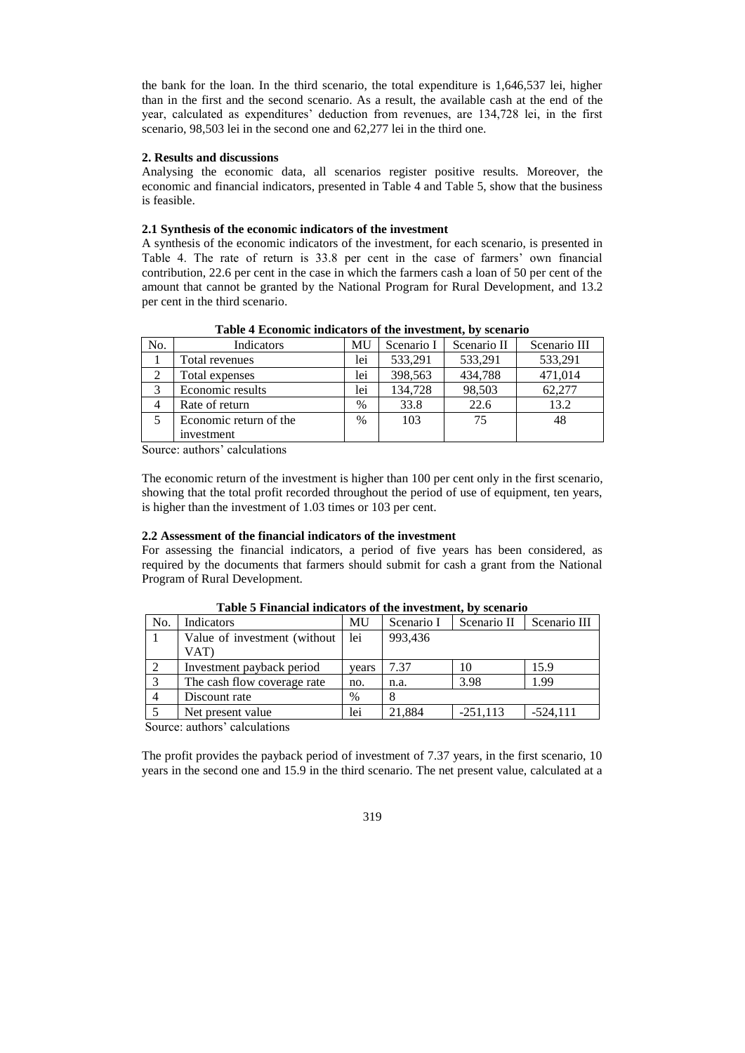the bank for the loan. In the third scenario, the total expenditure is 1,646,537 lei, higher than in the first and the second scenario. As a result, the available cash at the end of the year, calculated as expenditures' deduction from revenues, are 134,728 lei, in the first scenario, 98,503 lei in the second one and 62,277 lei in the third one.

### **2. Results and discussions**

Analysing the economic data, all scenarios register positive results. Moreover, the economic and financial indicators, presented in Table 4 and Table 5, show that the business is feasible.

# **2.1 Synthesis of the economic indicators of the investment**

A synthesis of the economic indicators of the investment, for each scenario, is presented in Table 4. The rate of return is 33.8 per cent in the case of farmers' own financial contribution, 22.6 per cent in the case in which the farmers cash a loan of 50 per cent of the amount that cannot be granted by the National Program for Rural Development, and 13.2 per cent in the third scenario.

| No. | Indicators             | MU            | Scenario I | Scenario II | Scenario III |
|-----|------------------------|---------------|------------|-------------|--------------|
|     | Total revenues         | lei           | 533,291    | 533,291     | 533,291      |
|     | Total expenses         | lei           | 398,563    | 434,788     | 471,014      |
|     | Economic results       | lei           | 134,728    | 98,503      | 62,277       |
| 4   | Rate of return         | $\%$          | 33.8       | 22.6        | 13.2         |
|     | Economic return of the | $\frac{0}{0}$ | 103        | 75          | 48           |
|     | investment             |               |            |             |              |

**Table 4 Economic indicators of the investment, by scenario**

Source: authors' calculations

The economic return of the investment is higher than 100 per cent only in the first scenario, showing that the total profit recorded throughout the period of use of equipment, ten years, is higher than the investment of 1.03 times or 103 per cent.

### **2.2 Assessment of the financial indicators of the investment**

For assessing the financial indicators, a period of five years has been considered, as required by the documents that farmers should submit for cash a grant from the National Program of Rural Development.

| No.            | Indicators                           | MU    | Scenario I | Scenario II | Scenario III |
|----------------|--------------------------------------|-------|------------|-------------|--------------|
|                | Value of investment (without<br>VAT) | lei   | 993,436    |             |              |
| 2              | Investment payback period            | vears | 7.37       | 10          | 15.9         |
| 3              | The cash flow coverage rate          | no.   | n.a.       | 3.98        | 1.99         |
| $\overline{4}$ | Discount rate                        | $\%$  |            |             |              |
|                | Net present value                    | lei   | 21.884     | $-251,113$  | $-524,111$   |

**Table 5 Financial indicators of the investment, by scenario**

Source: authors' calculations

The profit provides the payback period of investment of 7.37 years, in the first scenario, 10 years in the second one and 15.9 in the third scenario. The net present value, calculated at a

# 319